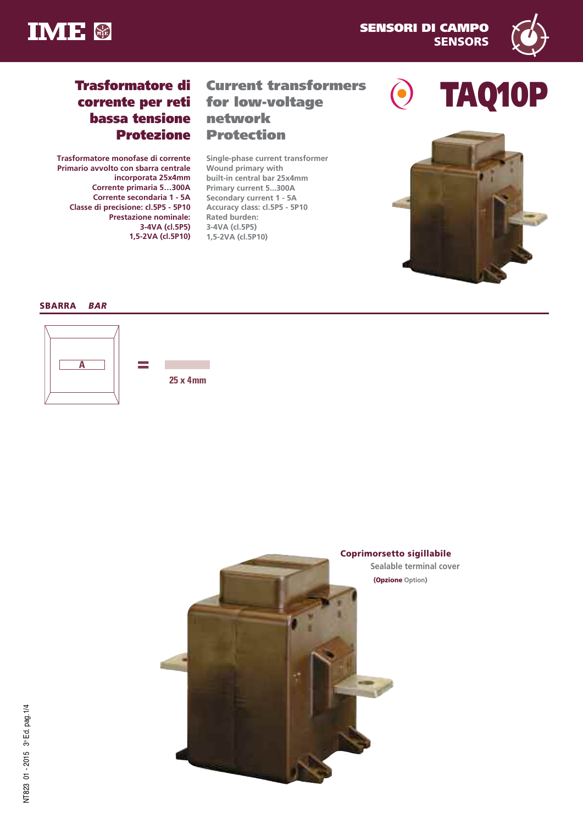



# **Trasformatore di corrente per reti bassa tensione Protezione**

**Trasformatore monofase di corrente Primario avvolto con sbarra centrale incorporata 25x4mm Corrente primaria 5…300A Corrente secondaria 1 - 5A Classe di precisione: cl.5P5 - 5P10 Prestazione nominale: 3-4VA (cl.5P5) 1,5-2VA (cl.5P10)**

# **Current transformers for low-voltage network Protection**

**Single-phase current transformer Wound primary with built-in central bar 25x4mm Primary current 5...300A Secondary current 1 - 5A Accuracy class: cl.5P5 - 5P10 Rated burden: 3-4VA (cl.5P5) 1,5-2VA (cl.5P10)**





# **SBARRA** *BAR*



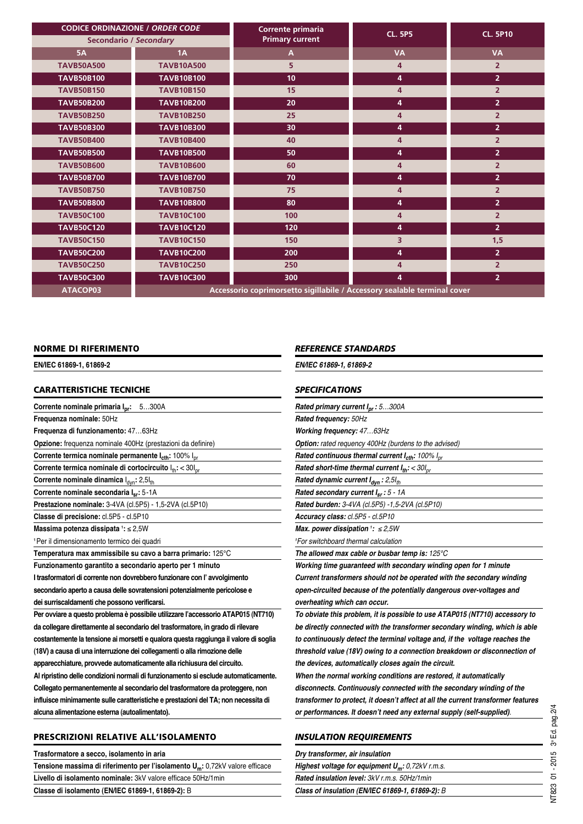| <b>CODICE ORDINAZIONE / ORDER CODE</b> |                   | Corrente primaria                                                        | <b>CL. 5P5</b> | <b>CL. 5P10</b> |
|----------------------------------------|-------------------|--------------------------------------------------------------------------|----------------|-----------------|
| <b>Secondario / Secondary</b>          |                   | <b>Primary current</b>                                                   |                |                 |
| <b>5A</b>                              | 1A                | $\overline{A}$                                                           | <b>VA</b>      | <b>VA</b>       |
| <b>TAVB50A500</b>                      | <b>TAVB10A500</b> | 5                                                                        | 4              | $\overline{2}$  |
| <b>TAVB50B100</b>                      | <b>TAVB10B100</b> | 10                                                                       | 4              | 2 <sup>1</sup>  |
| <b>TAVB50B150</b>                      | <b>TAVB10B150</b> | 15                                                                       | 4              | $\overline{2}$  |
| <b>TAVB50B200</b>                      | <b>TAVB10B200</b> | 20                                                                       | 4              | 2 <sup>1</sup>  |
| <b>TAVB50B250</b>                      | <b>TAVB10B250</b> | 25                                                                       | 4              | $\overline{2}$  |
| <b>TAVB50B300</b>                      | <b>TAVB10B300</b> | 30                                                                       | 4              | 2 <sup>1</sup>  |
| <b>TAVB50B400</b>                      | <b>TAVB10B400</b> | 40                                                                       | 4              | $\overline{2}$  |
| <b>TAVB50B500</b>                      | <b>TAVB10B500</b> | 50                                                                       | 4              | $\overline{2}$  |
| <b>TAVB50B600</b>                      | <b>TAVB10B600</b> | 60                                                                       | 4              | $\overline{2}$  |
| <b>TAVB50B700</b>                      | <b>TAVB10B700</b> | 70                                                                       | 4              | 2 <sup>1</sup>  |
| <b>TAVB50B750</b>                      | <b>TAVB10B750</b> | 75                                                                       | 4              | $\overline{2}$  |
| <b>TAVB50B800</b>                      | <b>TAVB10B800</b> | 80                                                                       | 4              | 2 <sup>1</sup>  |
| <b>TAVB50C100</b>                      | <b>TAVB10C100</b> | 100                                                                      | 4              | $\overline{2}$  |
| <b>TAVB50C120</b>                      | <b>TAVB10C120</b> | 120                                                                      | 4              | 2 <sup>1</sup>  |
| <b>TAVB50C150</b>                      | <b>TAVB10C150</b> | 150                                                                      | 3.             | 1,5             |
| <b>TAVB50C200</b>                      | <b>TAVB10C200</b> | 200                                                                      | 4              | $\overline{2}$  |
| <b>TAVB50C250</b>                      | <b>TAVB10C250</b> | 250                                                                      | 4              | $\overline{2}$  |
| <b>TAVB50C300</b>                      | <b>TAVB10C300</b> | 300                                                                      | 4              | 2 <sup>1</sup>  |
| ATACOP03                               |                   | Accessorio coprimorsetto sigillabile / Accessory sealable terminal cover |                |                 |

#### **NORME DI RIFERIMENTO**

**EN/IEC 61869-1, 61869-2**

## **CARATTERISTICHE TECNICHE**

| <b>Corrente nominale primaria I<sub>nr</sub>:</b> 5300A                              |
|--------------------------------------------------------------------------------------|
| Frequenza nominale: 50Hz                                                             |
| Frequenza di funzionamento: 4763Hz                                                   |
| Opzione: frequenza nominale 400Hz (prestazioni da definire)                          |
| Corrente termica nominale permanente I <sub>cth</sub> : 100% I <sub>pr</sub>         |
| Corrente termica nominale di cortocircuito ltti < 30lpr                              |
| Corrente nominale dinamica l <sub>dyn</sub> : 2,5lth                                 |
| Corrente nominale secondaria I <sub>sr</sub> : 5-1A                                  |
| Prestazione nominale: 3-4VA (cl.5P5) - 1,5-2VA (cl.5P10)                             |
| Classe di precisione: cl.5P5 - cl.5P10                                               |
| Massima potenza dissipata 1: ≤ 2,5W                                                  |
| <sup>1</sup> Per il dimensionamento termico dei quadri                               |
| Temperatura max ammissibile su cavo a barra primario: 125°C                          |
| Funzionamento garantito a secondario aperto per 1 minuto                             |
| I trasformatori di corrente non dovrebbero funzionare con l'avvolgimento             |
| secondario aperto a causa delle sovratensioni potenzialmente pericolose e            |
| dei surriscaldamenti che possono verificarsi.                                        |
| Per ovviare a questo problema è possibile utilizzare l'accessorio ATAP015 (NT710)    |
| da collegare direttamente al secondario del trasformatore, in grado di rilevare      |
| costantemente la tensione ai morsetti e qualora questa raggiunga il valore di soglia |
| (18V) a causa di una interruzione dei collegamenti o alla rimozione delle            |
| apparecchiature, provvede automaticamente alla richiusura del circuito.              |
| Al ripristino delle condizioni normali di funzionamento si esclude automaticamente.  |
| Collegato permanentemente al secondario del trasformatore da proteggere, non         |
| influisce minimamente sulle caratteristiche e prestazioni del TA; non necessita di   |

**alcuna alimentazione esterna (autoalimentato).**

## **PRESCRIZIONI RELATIVE ALL'ISOLAMENTO**

**Trasformatore a secco, isolamento in aria Tensione massima di riferimento per l'isolamento Um:** 0,72kV valore efficace **Livello di isolamento nominale:** 3kV valore efficace 50Hz/1min **Classe di isolamento (EN/IEC 61869-1, 61869-2):** B

#### *REFERENCE STANDARDS*

*EN/IEC 61869-1, 61869-2*

#### *SPECIFICATIONS*

| Rated primary current $I_{\text{pr}}$ : 5300A                          |
|------------------------------------------------------------------------|
| Rated frequency: 50Hz                                                  |
| Working frequency: 4763Hz                                              |
| <b>Option:</b> rated requency 400Hz (burdens to the advised)           |
| Rated continuous thermal current $I_{\rm ch}$ : 100% $I_{\rm or}$      |
| Rated short-time thermal current $I_{th}$ : < 30 $I_{or}$              |
| Rated dynamic current I <sub>dvn</sub> : 2,5Ith                        |
| Rated secondary current $I_{sr}$ : 5 - 1A                              |
| Rated burden: 3-4VA (cl.5P5) -1,5-2VA (cl.5P10)                        |
| Accuracy class: cl.5P5 - cl.5P10                                       |
| Max. power dissipation $\frac{1}{2}$ : $\leq$ 2,5W                     |
| <sup>1</sup> For switchboard thermal calculation                       |
| The allowed max cable or busbar temp is: $125^{\circ}$ C               |
| Working time guaranteed with secondary winding open for 1 minute       |
| Current transformers should not be operated with the secondary winding |
| open-circuited because of the potentially dangerous over-voltages and  |

*overheating which can occur.*

*To obviate this problem, it is possible to use ATAP015 (NT710) accessory to be directly connected with the transformer secondary winding, which is able to continuously detect the terminal voltage and, if the voltage reaches the threshold value (18V) owing to a connection breakdown or disconnection of the devices, automatically closes again the circuit.*

*When the normal working conditions are restored, it automatically disconnects. Continuously connected with the secondary winding of the transformer to protect, it doesn't affect at all the current transformer features or performances. It doesn't need any external supply (self-supplied).*

#### *INSULATION REQUIREMENTS*

|  | Dry transformer, air insulation                                      |  |
|--|----------------------------------------------------------------------|--|
|  | <b>Highest voltage for equipment <math>U_m</math>:</b> 0,72kV r.m.s. |  |
|  | Rated insulation level: 3kV r.m.s. 50Hz/1min                         |  |
|  |                                                                      |  |

*Class of insulation (EN/IEC 61869-1, 61869-2): B*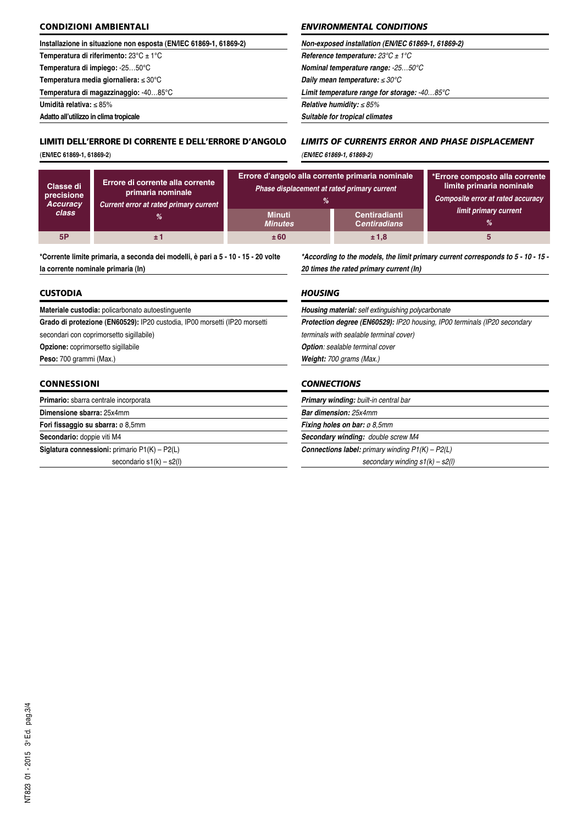## **CONDIZIONI AMBIENTALI**

#### **Installazione in situazione non esposta (EN/IEC 61869-1, 61869-2)**

**Temperatura di riferimento:** 23°C ± 1°C

**Temperatura di impiego:** -25…50°C

**Temperatura media giornaliera:** ≤ 30°C

**Temperatura di magazzinaggio:** -40…85°C

**Umidità relativa:** ≤ 85%

**Adatto all'utilizzo in clima tropicale**

# **LIMITI DELL'ERRORE DI CORRENTE E DELL'ERRORE D'ANGOLO**

(**EN/IEC 61869-1, 61869-2**)

## *ENVIRONMENTAL CONDITIONS*

| Non-exposed installation (EN/IEC 61869-1, 61869-2)     |  |
|--------------------------------------------------------|--|
| Reference temperature: $23^{\circ}$ C ± 1 $^{\circ}$ C |  |
| <b>Nominal temperature range: -2550°C</b>              |  |
| Daily mean temperature: $\leq 30^{\circ}$ C            |  |
| Limit temperature range for storage: $-4085^{\circ}C$  |  |
| Relative humidity: $\leq 85\%$                         |  |
| Suitable for tropical climates                         |  |

# *LIMITS OF CURRENTS ERROR AND PHASE DISPLACEMENT (EN/IEC 61869-1, 61869-2)*

| Classe di<br>precisione<br><b>Accuracy</b><br>class | Errore di corrente alla corrente<br>primaria nominale<br>Current error at rated primary current | Errore d'angolo alla corrente primaria nominale<br>Phase displacement at rated primary current<br>%<br><b>Minuti</b><br><b>Minutes</b> | <b>Centiradianti</b><br><b>Centiradians</b> | *Errore composto alla corrente<br>limite primaria nominale<br>Composite error at rated accuracy<br>limit primary current<br>℅ |
|-----------------------------------------------------|-------------------------------------------------------------------------------------------------|----------------------------------------------------------------------------------------------------------------------------------------|---------------------------------------------|-------------------------------------------------------------------------------------------------------------------------------|
| 5P                                                  | ±1                                                                                              | ±60                                                                                                                                    | ±1,8                                        |                                                                                                                               |

**\*Corrente limite primaria, a seconda dei modelli, è pari a 5 - 10 - 15 - 20 volte la corrente nominale primaria (In)**

## **CUSTODIA**

**Materiale custodia:** policarbonato autoestinguente

**Grado di protezione (EN60529):** IP20 custodia, IP00 morsetti (IP20 morsetti

secondari con coprimorsetto sigillabile)

**Opzione:** coprimorsetto sigillabile

**Peso:** 700 grammi (Max.)

## **CONNESSIONI**

| <b>Primario:</b> sbarra centrale incorporata           |  |
|--------------------------------------------------------|--|
| Dimensione sbarra: 25x4mm                              |  |
| Fori fissaggio su sbarra: ø 8,5mm                      |  |
| Secondario: doppie viti M4                             |  |
| <b>Siglatura connessioni:</b> primario $P1(K) - P2(L)$ |  |
| secondario $s1(k) - s2(l)$                             |  |

## *\*According to the models, the limit primary current corresponds to 5 - 10 - 15 - 20 times the rated primary current (In)*

## *HOUSING*

| <b>Protection degree (EN60529): IP20 housing, IP00 terminals (IP20 secondary</b> |
|----------------------------------------------------------------------------------|
| terminals with sealable terminal cover)                                          |
| <b>Option:</b> sealable terminal cover                                           |
| <b>Weight:</b> 700 grams (Max.)                                                  |

#### *CONNECTIONS*

|                              | <b>Primary winding:</b> built-in central bar               |  |
|------------------------------|------------------------------------------------------------|--|
| <b>Bar dimension: 25x4mm</b> |                                                            |  |
|                              | <b>Fixing holes on bar: <math>\varnothing</math> 8.5mm</b> |  |
|                              | <b>Secondary winding: double screw M4</b>                  |  |
|                              | <b>Connections label:</b> primary winding $P1(K) - P2(L)$  |  |
|                              | secondary winding $s1(k) - s2(l)$                          |  |